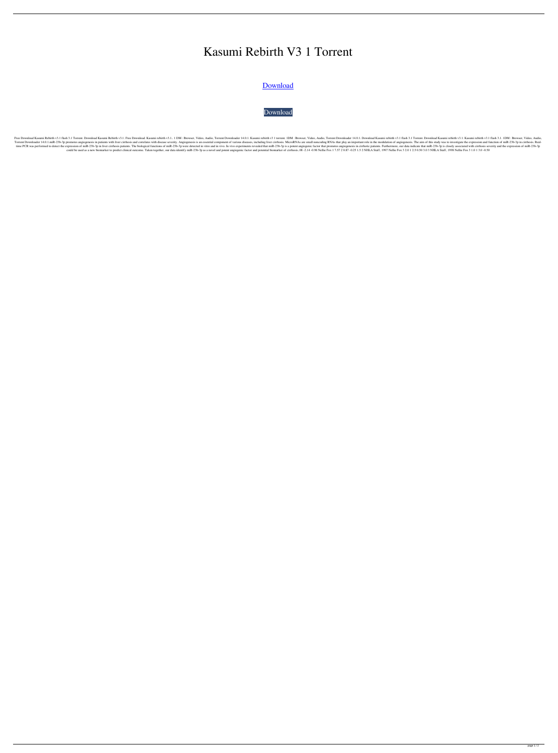## Kasumi Rebirth V3 1 Torrent

[Download](http://evacdir.com/ZG93bmxvYWR8bE85TVRkeWQzeDhNVFkxTWpjME1EZzJObng4TWpVM05IeDhLRTBwSUhKbFlXUXRZbXh2WnlCYlJtRnpkQ0JIUlU1ZA.a2FzdW1pIHJlYmlydGggdjMgMSB0b3JyZW50a2F?customise=/tati/gigs/intensities.omeag?frowned=psychol)

[Download](http://evacdir.com/ZG93bmxvYWR8bE85TVRkeWQzeDhNVFkxTWpjME1EZzJObng4TWpVM05IeDhLRTBwSUhKbFlXUXRZbXh2WnlCYlJtRnpkQ0JIUlU1ZA.a2FzdW1pIHJlYmlydGggdjMgMSB0b3JyZW50a2F?customise=/tati/gigs/intensities.omeag?frowned=psychol)

Free Download Kasumi Rebirth v3.1 flash 3.1 Torrent. Download Kasumi Rebirth v3.1. Free Download. Kasumi rebirth v3.1.. 1 DM: Browser, Video, Audio, Torrent Downloader 14.0.1. Kasumi rebirth v3.1 flash 3.1 Torrent. Downloa Torrent Downloader 14.0.1.miR-23b-3p promotes angiogenesis in patients with liver cirrhosis and correlates with disease severity. Angiogenesis is an essential component of various diseases, including liver cirrhosis. Micro time PCR was performed to detect the expression of miR-23b-3p in liver cirrhosis patients. The biological functions of miR-23b-3p were detected in vitro and in rivo. In vivo experiments revealed that miR-23b-3p is a potent could be used as a new biomarker to predict clinical outcome. Taken together, our data identify miR-23b-3p as a novel and potent angiogenic factor and potential biomarker of cirrhosis..08 -2.14 -0.98 Nellie Fox 1 7.57 2 0.